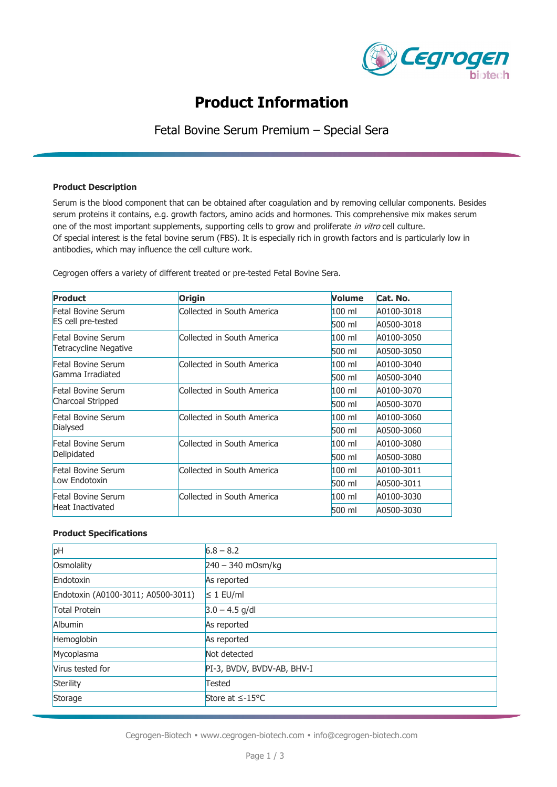

# **Product Information**

Fetal Bovine Serum Premium – Special Sera

### **Product Description**

Serum is the blood component that can be obtained after coagulation and by removing cellular components. Besides serum proteins it contains, e.g. growth factors, amino acids and hormones. This comprehensive mix makes serum one of the most important supplements, supporting cells to grow and proliferate in vitro cell culture. Of special interest is the fetal bovine serum (FBS). It is especially rich in growth factors and is particularly low in antibodies, which may influence the cell culture work.

Cegrogen offers a variety of different treated or pre-tested Fetal Bovine Sera.

| <b>Product</b>                                     | <b>Origin</b>              | Volume   | Cat. No.   |
|----------------------------------------------------|----------------------------|----------|------------|
| Fetal Bovine Serum<br><b>ES cell pre-tested</b>    | Collected in South America | $100$ ml | A0100-3018 |
|                                                    |                            | 500 ml   | A0500-3018 |
| Fetal Bovine Serum<br><b>Tetracycline Negative</b> | Collected in South America | $100$ ml | A0100-3050 |
|                                                    |                            | 500 ml   | A0500-3050 |
| Fetal Bovine Serum<br>Gamma Irradiated             | Collected in South America | $100$ ml | A0100-3040 |
|                                                    |                            | 500 ml   | A0500-3040 |
| Fetal Bovine Serum<br>Charcoal Stripped            | Collected in South America | $100$ ml | A0100-3070 |
|                                                    |                            | 500 ml   | A0500-3070 |
| Fetal Bovine Serum<br>Dialysed                     | Collected in South America | $100$ ml | A0100-3060 |
|                                                    |                            | 500 ml   | A0500-3060 |
| Fetal Bovine Serum<br>Delipidated                  | Collected in South America | $100$ ml | A0100-3080 |
|                                                    |                            | 500 ml   | A0500-3080 |
| Fetal Bovine Serum<br>Low Endotoxin                | Collected in South America | $100$ ml | A0100-3011 |
|                                                    |                            | 500 ml   | A0500-3011 |
| <b>Fetal Bovine Serum</b><br>Heat Inactivated      | Collected in South America | $100$ ml | A0100-3030 |
|                                                    |                            | 500 ml   | A0500-3030 |

# **Product Specifications**

| pH                                 | $6.8 - 8.2$                |
|------------------------------------|----------------------------|
| Osmolality                         | $240 - 340$ mOsm/kg        |
| Endotoxin                          | As reported                |
| Endotoxin (A0100-3011; A0500-3011) | $\leq 1$ EU/ml             |
| <b>Total Protein</b>               | $3.0 - 4.5$ g/dl           |
| Albumin                            | As reported                |
| Hemoglobin                         | As reported                |
| Mycoplasma                         | Not detected               |
| Virus tested for                   | PI-3, BVDV, BVDV-AB, BHV-I |
| Sterility                          | <b>Tested</b>              |
| Storage                            | Store at $\leq$ -15°C      |

Cegrogen-Biotech • [www.cegrogen-biotech.com](http://www.cegrogen-biotech.com/) • [info@cegrogen-biotech.com](mailto:info@cegrogen-biotech.com)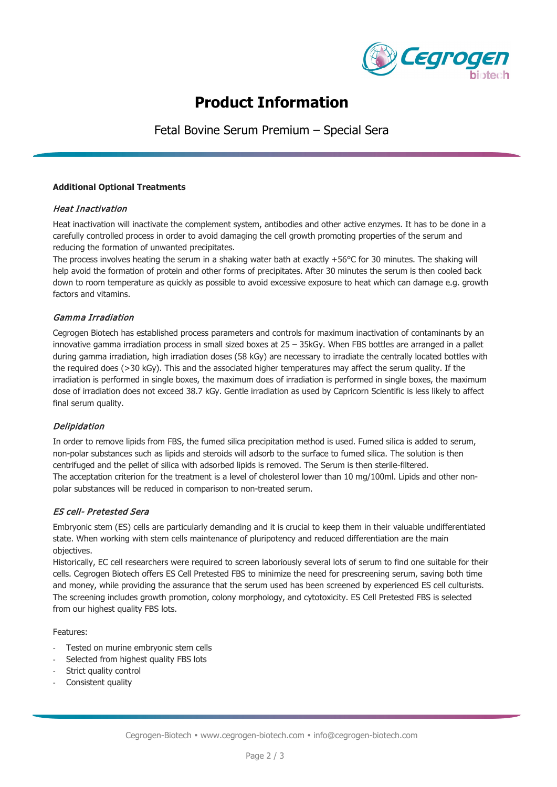

# **Product Information**

Fetal Bovine Serum Premium – Special Sera

### **Additional Optional Treatments**

# Heat Inactivation

Heat inactivation will inactivate the complement system, antibodies and other active enzymes. It has to be done in a carefully controlled process in order to avoid damaging the cell growth promoting properties of the serum and reducing the formation of unwanted precipitates.

The process involves heating the serum in a shaking water bath at exactly +56°C for 30 minutes. The shaking will help avoid the formation of protein and other forms of precipitates. After 30 minutes the serum is then cooled back down to room temperature as quickly as possible to avoid excessive exposure to heat which can damage e.g. growth factors and vitamins.

# Gamma Irradiation

Cegrogen Biotech has established process parameters and controls for maximum inactivation of contaminants by an innovative gamma irradiation process in small sized boxes at 25 – 35kGy. When FBS bottles are arranged in a pallet during gamma irradiation, high irradiation doses (58 kGy) are necessary to irradiate the centrally located bottles with the required does (>30 kGy). This and the associated higher temperatures may affect the serum quality. If the irradiation is performed in single boxes, the maximum does of irradiation is performed in single boxes, the maximum dose of irradiation does not exceed 38.7 kGy. Gentle irradiation as used by Capricorn Scientific is less likely to affect final serum quality.

# Delipidation

In order to remove lipids from FBS, the fumed silica precipitation method is used. Fumed silica is added to serum, non-polar substances such as lipids and steroids will adsorb to the surface to fumed silica. The solution is then centrifuged and the pellet of silica with adsorbed lipids is removed. The Serum is then sterile-filtered. The acceptation criterion for the treatment is a level of cholesterol lower than 10 mg/100ml. Lipids and other nonpolar substances will be reduced in comparison to non-treated serum.

# ES cell- Pretested Sera

Embryonic stem (ES) cells are particularly demanding and it is crucial to keep them in their valuable undifferentiated state. When working with stem cells maintenance of pluripotency and reduced differentiation are the main objectives.

Historically, EC cell researchers were required to screen laboriously several lots of serum to find one suitable for their cells. Cegrogen Biotech offers ES Cell Pretested FBS to minimize the need for prescreening serum, saving both time and money, while providing the assurance that the serum used has been screened by experienced ES cell culturists. The screening includes growth promotion, colony morphology, and cytotoxicity. ES Cell Pretested FBS is selected from our highest quality FBS lots.

Features:

- Tested on murine embryonic stem cells
- Selected from highest quality FBS lots
- Strict quality control
- Consistent quality